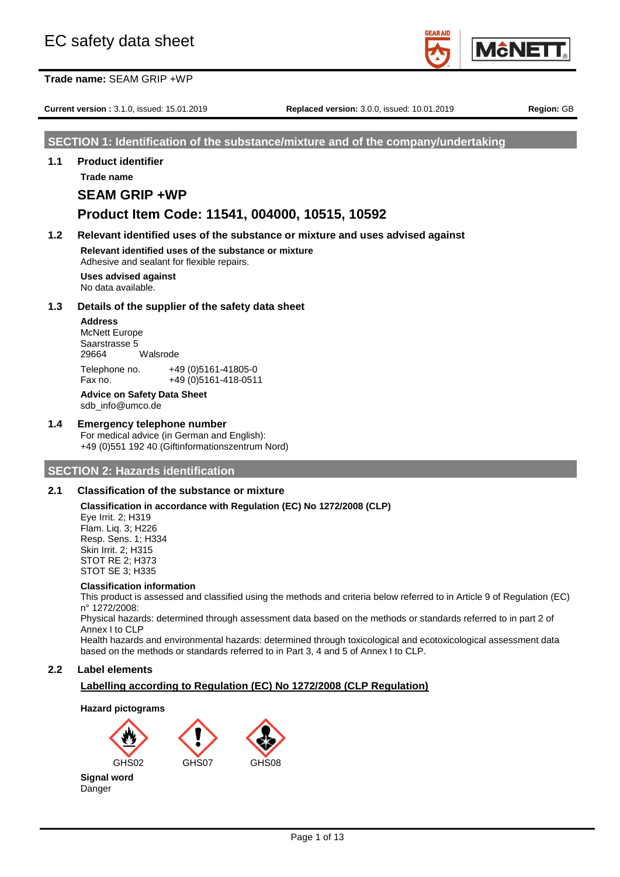

**Current version :** 3.1.0, issued: 15.01.2019 **Replaced version:** 3.0.0, issued: 10.01.2019 **Region:** GB

## **SECTION 1: Identification of the substance/mixture and of the company/undertaking**

**1.1 Product identifier**

## **Trade name SEAM GRIP +WP**

## **Product Item Code: 11541, 004000, 10515, 10592**

## **1.2 Relevant identified uses of the substance or mixture and uses advised against**

**Relevant identified uses of the substance or mixture** Adhesive and sealant for flexible repairs.

**Uses advised against** No data available.

## **1.3 Details of the supplier of the safety data sheet**

**Address** McNett Europe Saarstrasse 5 29664 Walsrode Telephone no. +49 (0)5161-41805-0 Fax no. +49 (0)5161-418-0511

## **Advice on Safety Data Sheet**

sdb\_info@umco.de

## **1.4 Emergency telephone number**

For medical advice (in German and English): +49 (0)551 192 40 (Giftinformationszentrum Nord)

## **SECTION 2: Hazards identification**

## **2.1 Classification of the substance or mixture**

**Classification in accordance with Regulation (EC) No 1272/2008 (CLP)**

Eye Irrit. 2; H319 Flam. Liq. 3; H226 Resp. Sens. 1; H334 Skin Irrit. 2; H315 STOT RE 2; H373 STOT SE 3; H335

#### **Classification information**

This product is assessed and classified using the methods and criteria below referred to in Article 9 of Regulation (EC) n° 1272/2008:

Physical hazards: determined through assessment data based on the methods or standards referred to in part 2 of Annex I to CLP

Health hazards and environmental hazards: determined through toxicological and ecotoxicological assessment data based on the methods or standards referred to in Part 3, 4 and 5 of Annex I to CLP.

## **2.2 Label elements**

## **Labelling according to Regulation (EC) No 1272/2008 (CLP Regulation)**

## **Hazard pictograms**





**Signal word** Danger

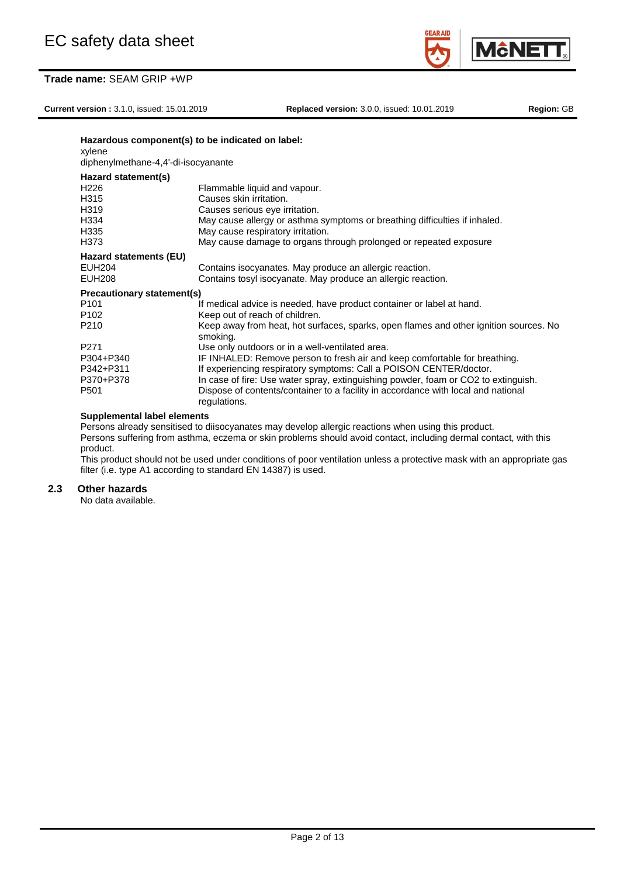**Current version :** 3.1.0, issued: 15.01.2019 **Replaced version:** 3.0.0, issued: 10.01.2019 **Region:** GB

**M**<sub>c</sub>NE

| Hazardous component(s) to be indicated on label:<br>xylene |                                                                                                   |  |  |  |  |
|------------------------------------------------------------|---------------------------------------------------------------------------------------------------|--|--|--|--|
| diphenylmethane-4,4'-di-isocyanante                        |                                                                                                   |  |  |  |  |
| Hazard statement(s)                                        |                                                                                                   |  |  |  |  |
| H <sub>226</sub>                                           | Flammable liquid and vapour.                                                                      |  |  |  |  |
| H315                                                       | Causes skin irritation.                                                                           |  |  |  |  |
| H319                                                       | Causes serious eye irritation.                                                                    |  |  |  |  |
| H334                                                       | May cause allergy or asthma symptoms or breathing difficulties if inhaled.                        |  |  |  |  |
| H335                                                       | May cause respiratory irritation.                                                                 |  |  |  |  |
| H373                                                       | May cause damage to organs through prolonged or repeated exposure                                 |  |  |  |  |
| Hazard statements (EU)                                     |                                                                                                   |  |  |  |  |
| <b>EUH204</b>                                              | Contains isocyanates. May produce an allergic reaction.                                           |  |  |  |  |
| <b>EUH208</b>                                              | Contains tosyl isocyanate. May produce an allergic reaction.                                      |  |  |  |  |
| <b>Precautionary statement(s)</b>                          |                                                                                                   |  |  |  |  |
| P <sub>101</sub>                                           | If medical advice is needed, have product container or label at hand.                             |  |  |  |  |
| P <sub>102</sub>                                           | Keep out of reach of children.                                                                    |  |  |  |  |
| P <sub>210</sub>                                           | Keep away from heat, hot surfaces, sparks, open flames and other ignition sources. No<br>smoking. |  |  |  |  |
| P <sub>271</sub>                                           | Use only outdoors or in a well-ventilated area.                                                   |  |  |  |  |
| P304+P340                                                  | IF INHALED: Remove person to fresh air and keep comfortable for breathing.                        |  |  |  |  |
| P342+P311                                                  | If experiencing respiratory symptoms: Call a POISON CENTER/doctor.                                |  |  |  |  |
| P370+P378                                                  | In case of fire: Use water spray, extinguishing powder, foam or CO2 to extinguish.                |  |  |  |  |
| P <sub>501</sub>                                           | Dispose of contents/container to a facility in accordance with local and national<br>regulations. |  |  |  |  |
| Curantementel lebel elemente                               |                                                                                                   |  |  |  |  |

**Supplemental label elements**

Persons already sensitised to diisocyanates may develop allergic reactions when using this product. Persons suffering from asthma, eczema or skin problems should avoid contact, including dermal contact, with this product.

This product should not be used under conditions of poor ventilation unless a protective mask with an appropriate gas filter (i.e. type A1 according to standard EN 14387) is used.

## **2.3 Other hazards**

No data available.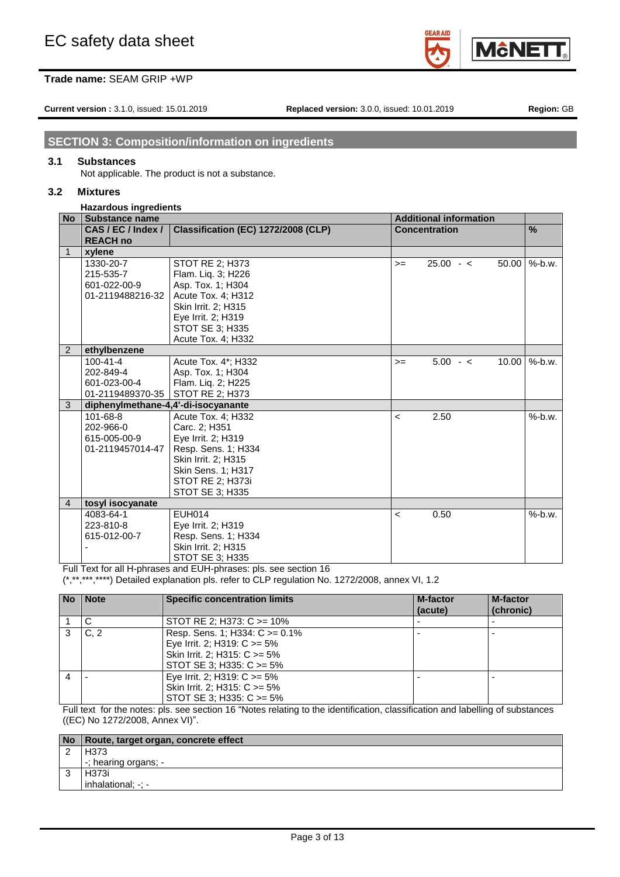**Current version :** 3.1.0, issued: 15.01.2019 **Replaced version:** 3.0.0, issued: 10.01.2019 **Region:** GB

**M**ċNE

## **SECTION 3: Composition/information on ingredients**

### **3.1 Substances**

Not applicable. The product is not a substance.

### **3.2 Mixtures**

#### **Hazardous ingredients**

| <b>No</b>      | <b>Substance name</b>               |                                     | <b>Additional information</b> |                      |       |               |
|----------------|-------------------------------------|-------------------------------------|-------------------------------|----------------------|-------|---------------|
|                | CAS/EC/Index/                       | Classification (EC) 1272/2008 (CLP) |                               | <b>Concentration</b> |       | $\frac{0}{0}$ |
|                | <b>REACH no</b>                     |                                     |                               |                      |       |               |
| $\mathbf{1}$   | xylene                              |                                     |                               |                      |       |               |
|                | 1330-20-7                           | STOT RE 2; H373                     | $>=$                          | $25.00 - c$          | 50.00 | $%$ -b.w.     |
|                | 215-535-7                           | Flam. Lig. 3; H226                  |                               |                      |       |               |
|                | 601-022-00-9                        | Asp. Tox. 1; H304                   |                               |                      |       |               |
|                | 01-2119488216-32                    | Acute Tox. 4: H312                  |                               |                      |       |               |
|                |                                     | Skin Irrit. 2; H315                 |                               |                      |       |               |
|                |                                     | Eye Irrit. 2; H319                  |                               |                      |       |               |
|                |                                     | <b>STOT SE 3: H335</b>              |                               |                      |       |               |
|                |                                     | Acute Tox. 4; H332                  |                               |                      |       |               |
| $\overline{2}$ | ethylbenzene                        |                                     |                               |                      |       |               |
|                | $100 - 41 - 4$                      | Acute Tox. 4*; H332                 | $>=$                          | $5.00 - c$           | 10.00 | $%$ -b.w.     |
|                | 202-849-4                           | Asp. Tox. 1; H304                   |                               |                      |       |               |
|                | 601-023-00-4                        | Flam. Liq. 2; H225                  |                               |                      |       |               |
|                | 01-2119489370-35                    | STOT RE 2; H373                     |                               |                      |       |               |
| 3              | diphenylmethane-4,4'-di-isocyanante |                                     |                               |                      |       |               |
|                | 101-68-8                            | Acute Tox. 4; H332                  | $\overline{\phantom{0}}$      | 2.50                 |       | $%$ -b.w.     |
|                | 202-966-0                           | Carc. 2; H351                       |                               |                      |       |               |
|                | 615-005-00-9                        | Eye Irrit. 2; H319                  |                               |                      |       |               |
|                | 01-2119457014-47                    | Resp. Sens. 1; H334                 |                               |                      |       |               |
|                |                                     | Skin Irrit. 2; H315                 |                               |                      |       |               |
|                |                                     | Skin Sens. 1; H317                  |                               |                      |       |               |
|                |                                     | <b>STOT RE 2; H373i</b>             |                               |                      |       |               |
|                |                                     | STOT SE 3; H335                     |                               |                      |       |               |
| $\overline{4}$ | tosyl isocyanate                    |                                     |                               |                      |       |               |
|                | 4083-64-1                           | <b>EUH014</b>                       | $\overline{\phantom{0}}$      | 0.50                 |       | $%$ -b.w.     |
|                | 223-810-8                           | Eye Irrit. 2; H319                  |                               |                      |       |               |
|                | 615-012-00-7                        | Resp. Sens. 1; H334                 |                               |                      |       |               |
|                |                                     | Skin Irrit. 2; H315                 |                               |                      |       |               |
|                |                                     | STOT SE 3; H335                     |                               |                      |       |               |

Full Text for all H-phrases and EUH-phrases: pls. see section 16

(\*,\*\*,\*\*\*,\*\*\*\*) Detailed explanation pls. refer to CLP regulation No. 1272/2008, annex VI, 1.2

| <b>No</b> | <b>Note</b>    | <b>Specific concentration limits</b>                                                                                                  | <b>M-factor</b><br>(acute) | <b>M-factor</b><br>(chronic) |
|-----------|----------------|---------------------------------------------------------------------------------------------------------------------------------------|----------------------------|------------------------------|
|           |                | STOT RE 2; H373: $C \ge 10\%$                                                                                                         |                            |                              |
|           | C <sub>2</sub> | Resp. Sens. 1; H334: $C \ge 0.1\%$<br>Eye Irrit. 2; H319: $C \ge 5\%$<br>Skin Irrit. 2; H315: C >= 5%<br>STOT SE 3; H335: $C \ge 5\%$ |                            |                              |
| 4         |                | Eye Irrit. 2; H319: $C \ge 5\%$<br>Skin Irrit. 2; H315: C >= 5%<br>STOT SE 3; H335: C >= 5%                                           |                            |                              |

Full text for the notes: pls. see section 16 "Notes relating to the identification, classification and labelling of substances ((EC) No 1272/2008, Annex VI)".

| No   Route, target organ, concrete effect |
|-------------------------------------------|
| H373                                      |
| -; hearing organs; -                      |
| H373i                                     |
| inhalational; -: -                        |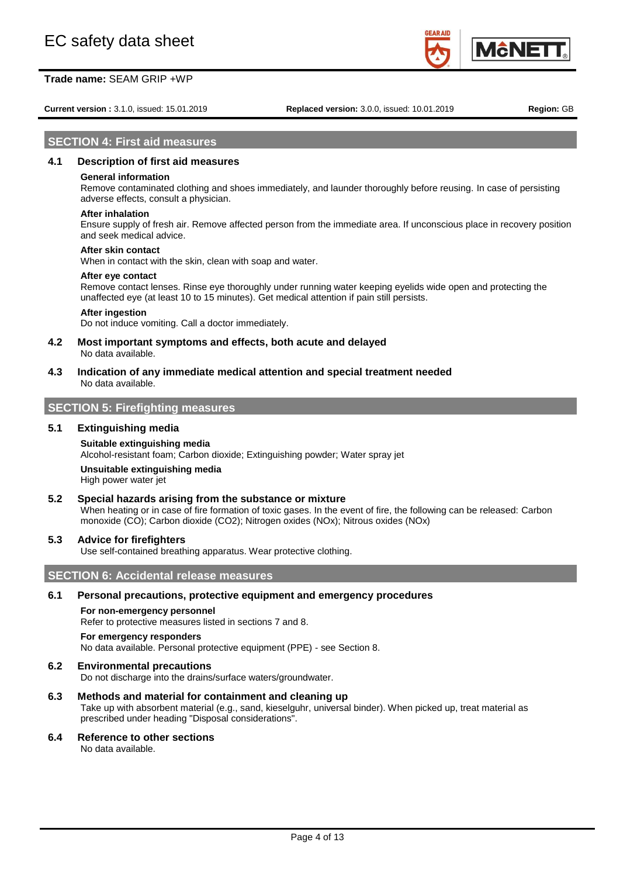**Current version :** 3.1.0, issued: 15.01.2019 **Replaced version:** 3.0.0, issued: 10.01.2019 **Region:** GB

**MANE** 

### **SECTION 4: First aid measures**

#### **4.1 Description of first aid measures**

#### **General information**

Remove contaminated clothing and shoes immediately, and launder thoroughly before reusing. In case of persisting adverse effects, consult a physician.

# **After inhalation**

Ensure supply of fresh air. Remove affected person from the immediate area. If unconscious place in recovery position and seek medical advice.

#### **After skin contact**

When in contact with the skin, clean with soap and water.

#### **After eye contact**

Remove contact lenses. Rinse eye thoroughly under running water keeping eyelids wide open and protecting the unaffected eye (at least 10 to 15 minutes). Get medical attention if pain still persists.

#### **After ingestion**

Do not induce vomiting. Call a doctor immediately.

- **4.2 Most important symptoms and effects, both acute and delayed** No data available.
- **4.3 Indication of any immediate medical attention and special treatment needed** No data available.

## **SECTION 5: Firefighting measures**

#### **5.1 Extinguishing media**

## **Suitable extinguishing media**

Alcohol-resistant foam; Carbon dioxide; Extinguishing powder; Water spray jet

#### **Unsuitable extinguishing media**

High power water jet

#### **5.2 Special hazards arising from the substance or mixture**

When heating or in case of fire formation of toxic gases. In the event of fire, the following can be released: Carbon monoxide (CO); Carbon dioxide (CO2); Nitrogen oxides (NOx); Nitrous oxides (NOx)

#### **5.3 Advice for firefighters**

Use self-contained breathing apparatus. Wear protective clothing.

### **SECTION 6: Accidental release measures**

#### **6.1 Personal precautions, protective equipment and emergency procedures**

#### **For non-emergency personnel**

Refer to protective measures listed in sections 7 and 8.

#### **For emergency responders**

No data available. Personal protective equipment (PPE) - see Section 8.

#### **6.2 Environmental precautions**

Do not discharge into the drains/surface waters/groundwater.

**6.3 Methods and material for containment and cleaning up** Take up with absorbent material (e.g., sand, kieselguhr, universal binder). When picked up, treat material as prescribed under heading "Disposal considerations".

#### **6.4 Reference to other sections**

No data available.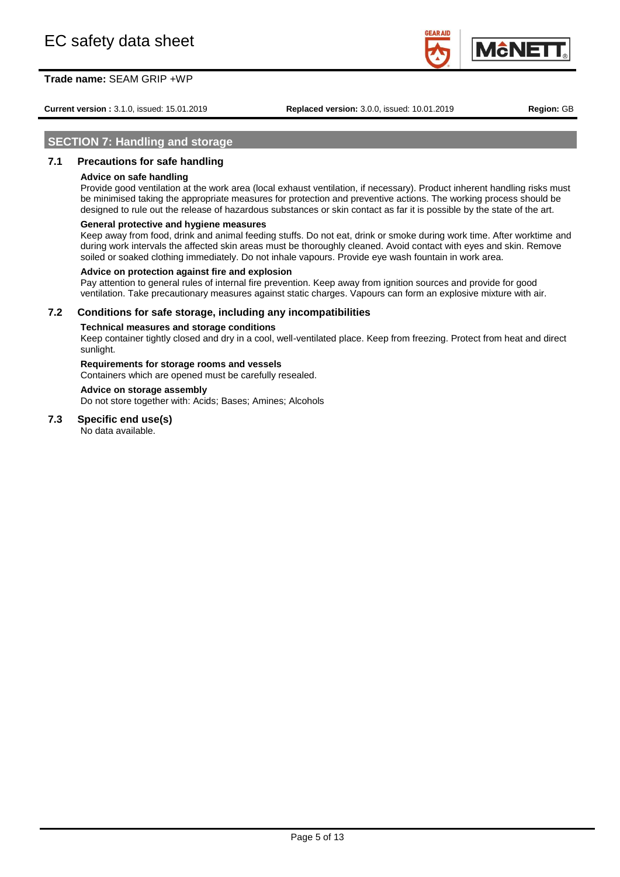**Current version :** 3.1.0, issued: 15.01.2019 **Replaced version:** 3.0.0, issued: 10.01.2019 **Region:** GB

**M**cNE

## **SECTION 7: Handling and storage**

## **7.1 Precautions for safe handling**

#### **Advice on safe handling**

Provide good ventilation at the work area (local exhaust ventilation, if necessary). Product inherent handling risks must be minimised taking the appropriate measures for protection and preventive actions. The working process should be designed to rule out the release of hazardous substances or skin contact as far it is possible by the state of the art.

#### **General protective and hygiene measures**

Keep away from food, drink and animal feeding stuffs. Do not eat, drink or smoke during work time. After worktime and during work intervals the affected skin areas must be thoroughly cleaned. Avoid contact with eyes and skin. Remove soiled or soaked clothing immediately. Do not inhale vapours. Provide eye wash fountain in work area.

#### **Advice on protection against fire and explosion**

Pay attention to general rules of internal fire prevention. Keep away from ignition sources and provide for good ventilation. Take precautionary measures against static charges. Vapours can form an explosive mixture with air.

#### **7.2 Conditions for safe storage, including any incompatibilities**

#### **Technical measures and storage conditions**

Keep container tightly closed and dry in a cool, well-ventilated place. Keep from freezing. Protect from heat and direct sunlight.

## **Requirements for storage rooms and vessels**

Containers which are opened must be carefully resealed.

#### **Advice on storage assembly**

Do not store together with: Acids; Bases; Amines; Alcohols

## **7.3 Specific end use(s)**

No data available.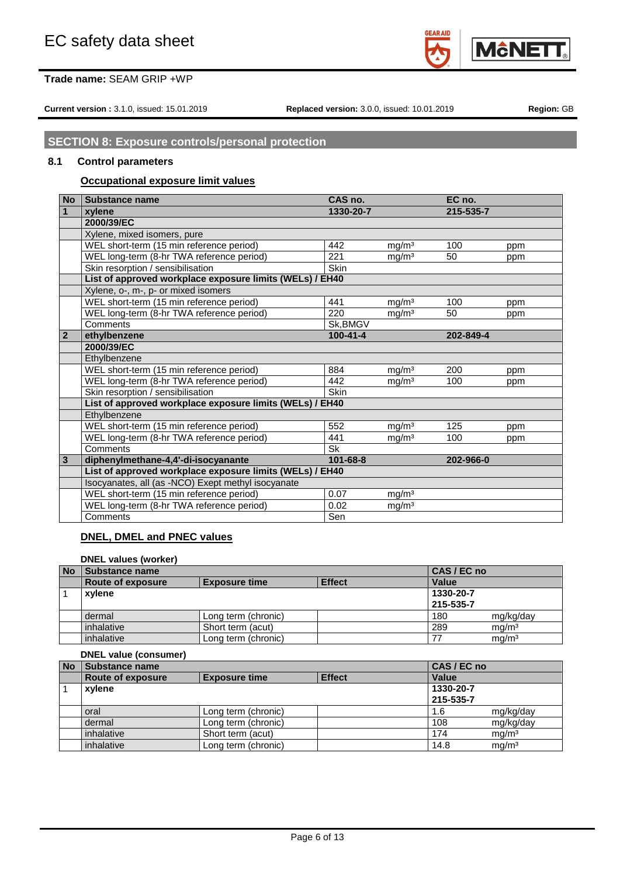

**Current version :** 3.1.0, issued: 15.01.2019 **Replaced version:** 3.0.0, issued: 10.01.2019 **Region:** GB

# **SECTION 8: Exposure controls/personal protection**

## **8.1 Control parameters**

## **Occupational exposure limit values**

| <b>No</b>      | <b>Substance name</b>                                    | CAS no.        |                   | EC no.    |     |
|----------------|----------------------------------------------------------|----------------|-------------------|-----------|-----|
| 1              | xylene                                                   | 1330-20-7      |                   | 215-535-7 |     |
|                | 2000/39/EC                                               |                |                   |           |     |
|                | Xylene, mixed isomers, pure                              |                |                   |           |     |
|                | WEL short-term (15 min reference period)                 | 442            | mq/m <sup>3</sup> | 100       | ppm |
|                | WEL long-term (8-hr TWA reference period)                | 221            | mg/m <sup>3</sup> | 50        | ppm |
|                | Skin resorption / sensibilisation                        | Skin           |                   |           |     |
|                | List of approved workplace exposure limits (WELs) / EH40 |                |                   |           |     |
|                | Xylene, o-, m-, p- or mixed isomers                      |                |                   |           |     |
|                | WEL short-term (15 min reference period)                 | 441            | mg/m <sup>3</sup> | 100       | ppm |
|                | WEL long-term (8-hr TWA reference period)                | 220            | mg/m <sup>3</sup> | 50        | ppm |
|                | Comments                                                 | Sk.BMGV        |                   |           |     |
| $\overline{2}$ | ethylbenzene                                             | $100 - 41 - 4$ |                   | 202-849-4 |     |
|                | 2000/39/EC                                               |                |                   |           |     |
|                | Ethylbenzene                                             |                |                   |           |     |
|                | WEL short-term (15 min reference period)                 | 884            | mg/m <sup>3</sup> | 200       | ppm |
|                | WEL long-term (8-hr TWA reference period)                | 442            | mg/m <sup>3</sup> | 100       | ppm |
|                | Skin resorption / sensibilisation                        | Skin           |                   |           |     |
|                | List of approved workplace exposure limits (WELs) / EH40 |                |                   |           |     |
|                | Ethylbenzene                                             |                |                   |           |     |
|                | WEL short-term (15 min reference period)                 | 552            | mg/m <sup>3</sup> | 125       | ppm |
|                | WEL long-term (8-hr TWA reference period)                | 441            | ma/m <sup>3</sup> | 100       | ppm |
|                | Comments                                                 | Sk             |                   |           |     |
| $\mathbf{3}$   | diphenylmethane-4,4'-di-isocyanante                      | 101-68-8       |                   | 202-966-0 |     |
|                | List of approved workplace exposure limits (WELs) / EH40 |                |                   |           |     |
|                | Isocyanates, all (as -NCO) Exept methyl isocyanate       |                |                   |           |     |
|                | WEL short-term (15 min reference period)                 | 0.07           | mg/m <sup>3</sup> |           |     |
|                | WEL long-term (8-hr TWA reference period)                | 0.02           | mg/m <sup>3</sup> |           |     |
|                | Comments                                                 | Sen            |                   |           |     |

## **DNEL, DMEL and PNEC values**

### **DNEL values (worker)**

| <b>No</b> | Substance name                                             |                     |  | CAS / EC no |                   |
|-----------|------------------------------------------------------------|---------------------|--|-------------|-------------------|
|           | <b>Effect</b><br>Route of exposure<br><b>Exposure time</b> |                     |  | Value       |                   |
|           | xvlene                                                     |                     |  | 1330-20-7   |                   |
|           |                                                            |                     |  | 215-535-7   |                   |
|           | dermal                                                     | Long term (chronic) |  | 180         | mg/kg/day         |
|           | inhalative                                                 | Short term (acut)   |  | 289         | ma/m <sup>3</sup> |
|           | inhalative                                                 | Long term (chronic) |  |             | ma/m <sup>3</sup> |

## **DNEL value (consumer)**

| <b>No</b> | Substance name           |                      |               | CAS / EC no |                   |
|-----------|--------------------------|----------------------|---------------|-------------|-------------------|
|           | <b>Route of exposure</b> | <b>Exposure time</b> | <b>Effect</b> | Value       |                   |
|           | xvlene                   |                      |               | 1330-20-7   |                   |
|           |                          |                      |               | 215-535-7   |                   |
|           | oral                     | Long term (chronic)  |               | 1.6         | mg/kg/day         |
|           | dermal                   | Long term (chronic)  |               | 108         | mg/kg/day         |
|           | inhalative               | Short term (acut)    |               | 174         | mq/m <sup>3</sup> |
|           | inhalative               | Long term (chronic)  |               | 14.8        | mg/m <sup>3</sup> |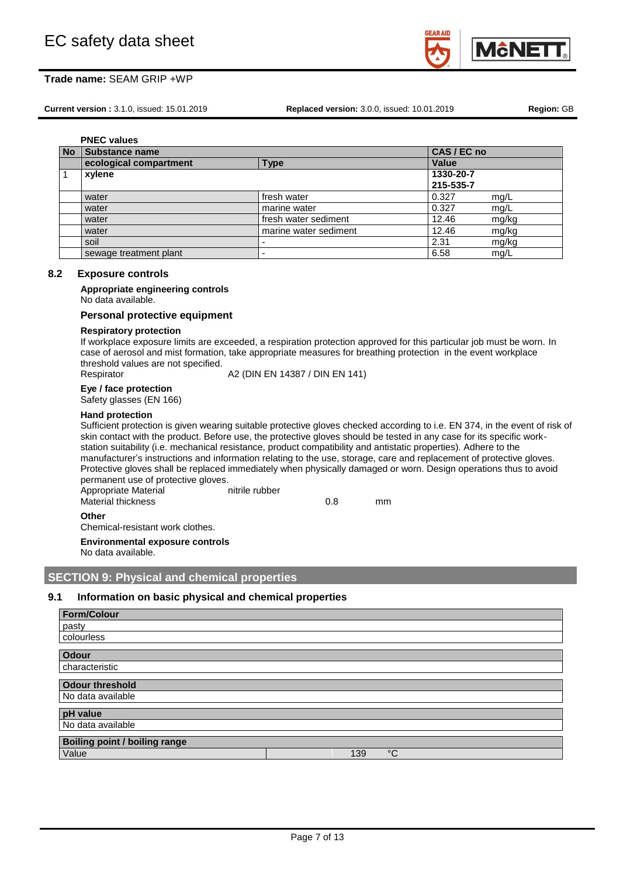

**Current version :** 3.1.0, issued: 15.01.2019 **Replaced version:** 3.0.0, issued: 10.01.2019 **Region:** GB

|           | <b>PNEC values</b>     |                          |             |       |  |  |  |
|-----------|------------------------|--------------------------|-------------|-------|--|--|--|
| <b>No</b> | <b>Substance name</b>  |                          | CAS / EC no |       |  |  |  |
|           | ecological compartment | <b>Type</b>              | Value       |       |  |  |  |
|           | xylene                 |                          | 1330-20-7   |       |  |  |  |
|           |                        |                          | 215-535-7   |       |  |  |  |
|           | water                  | fresh water              | 0.327       | mg/L  |  |  |  |
|           | water                  | marine water             | 0.327       | mg/L  |  |  |  |
|           | water                  | fresh water sediment     | 12.46       | mg/kg |  |  |  |
|           | water                  | marine water sediment    | 12.46       | mg/kg |  |  |  |
|           | soil                   | $\overline{\phantom{0}}$ | 2.31        | mg/kg |  |  |  |
|           | sewage treatment plant | $\overline{\phantom{a}}$ | 6.58        | mg/L  |  |  |  |

#### **8.2 Exposure controls**

**Appropriate engineering controls** No data available.

#### **Personal protective equipment**

#### **Respiratory protection**

If workplace exposure limits are exceeded, a respiration protection approved for this particular job must be worn. In case of aerosol and mist formation, take appropriate measures for breathing protection in the event workplace threshold values are not specified.

Respirator **A2** (DIN EN 14387 / DIN EN 141)

### **Eye / face protection**

Safety glasses (EN 166)

#### **Hand protection**

Sufficient protection is given wearing suitable protective gloves checked according to i.e. EN 374, in the event of risk of skin contact with the product. Before use, the protective gloves should be tested in any case for its specific workstation suitability (i.e. mechanical resistance, product compatibility and antistatic properties). Adhere to the manufacturer's instructions and information relating to the use, storage, care and replacement of protective gloves. Protective gloves shall be replaced immediately when physically damaged or worn. Design operations thus to avoid permanent use of protective gloves. Appropriate Material nitrile rubber Material thickness and the motion of the material thickness and the motion of the material of the material of  $\sim$  0.8 mm

#### **Other**

Chemical-resistant work clothes.

**Environmental exposure controls**

No data available.

## **SECTION 9: Physical and chemical properties**

## **9.1 Information on basic physical and chemical properties**

| <b>Form/Colour</b>                   |     |    |  |
|--------------------------------------|-----|----|--|
| pasty                                |     |    |  |
| colourless                           |     |    |  |
| <b>Odour</b>                         |     |    |  |
| characteristic                       |     |    |  |
| <b>Odour threshold</b>               |     |    |  |
| No data available                    |     |    |  |
| pH value                             |     |    |  |
| No data available                    |     |    |  |
| <b>Boiling point / boiling range</b> |     |    |  |
| Value                                | 139 | °C |  |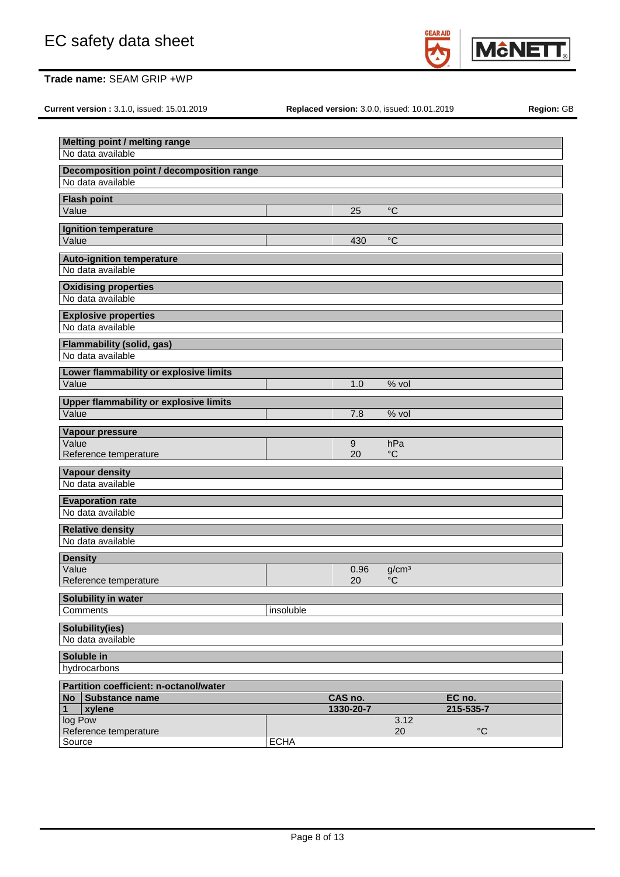

**Current version :** 3.1.0, issued: 15.01.2019 **Replaced version:** 3.0.0, issued: 10.01.2019 **Region:** GB

|                         | Melting point / melting range<br>No data available |             |           |                   |                 |  |
|-------------------------|----------------------------------------------------|-------------|-----------|-------------------|-----------------|--|
|                         | Decomposition point / decomposition range          |             |           |                   |                 |  |
|                         | No data available                                  |             |           |                   |                 |  |
|                         | <b>Flash point</b>                                 |             |           |                   |                 |  |
| Value                   |                                                    |             | 25        | $\rm ^{\circ}C$   |                 |  |
|                         | Ignition temperature                               |             |           |                   |                 |  |
| Value                   |                                                    |             | 430       | $^{\circ}C$       |                 |  |
|                         | <b>Auto-ignition temperature</b>                   |             |           |                   |                 |  |
|                         | No data available                                  |             |           |                   |                 |  |
|                         | <b>Oxidising properties</b>                        |             |           |                   |                 |  |
|                         | No data available                                  |             |           |                   |                 |  |
|                         | <b>Explosive properties</b>                        |             |           |                   |                 |  |
|                         | No data available                                  |             |           |                   |                 |  |
|                         | <b>Flammability (solid, gas)</b>                   |             |           |                   |                 |  |
|                         | No data available                                  |             |           |                   |                 |  |
|                         | Lower flammability or explosive limits             |             |           |                   |                 |  |
| Value                   |                                                    |             | 1.0       | % vol             |                 |  |
|                         | <b>Upper flammability or explosive limits</b>      |             |           |                   |                 |  |
| Value                   |                                                    |             | 7.8       | % vol             |                 |  |
|                         | Vapour pressure                                    |             |           |                   |                 |  |
| Value                   |                                                    |             | $9\,$     | hPa               |                 |  |
|                         | Reference temperature                              |             | 20        | $\rm ^{\circ}C$   |                 |  |
|                         | <b>Vapour density</b>                              |             |           |                   |                 |  |
|                         | No data available                                  |             |           |                   |                 |  |
|                         | <b>Evaporation rate</b><br>No data available       |             |           |                   |                 |  |
|                         |                                                    |             |           |                   |                 |  |
|                         | <b>Relative density</b><br>No data available       |             |           |                   |                 |  |
|                         |                                                    |             |           |                   |                 |  |
| <b>Density</b><br>Value |                                                    |             | 0.96      | g/cm <sup>3</sup> |                 |  |
|                         | Reference temperature                              |             | 20        | $\rm ^{\circ}C$   |                 |  |
|                         | Solubility in water                                |             |           |                   |                 |  |
|                         | Comments                                           | insoluble   |           |                   |                 |  |
|                         | <b>Solubility(ies)</b>                             |             |           |                   |                 |  |
|                         | No data available                                  |             |           |                   |                 |  |
|                         | Soluble in                                         |             |           |                   |                 |  |
|                         | hydrocarbons                                       |             |           |                   |                 |  |
|                         | <b>Partition coefficient: n-octanol/water</b>      |             |           |                   |                 |  |
| No <sub>1</sub>         | <b>Substance name</b>                              |             | CAS no.   |                   | EC no.          |  |
| $\mathbf{1}$            | xylene                                             |             | 1330-20-7 |                   | 215-535-7       |  |
| log Pow                 | Reference temperature                              |             |           | 3.12<br>20        | $\rm ^{\circ}C$ |  |
| Source                  |                                                    | <b>ECHA</b> |           |                   |                 |  |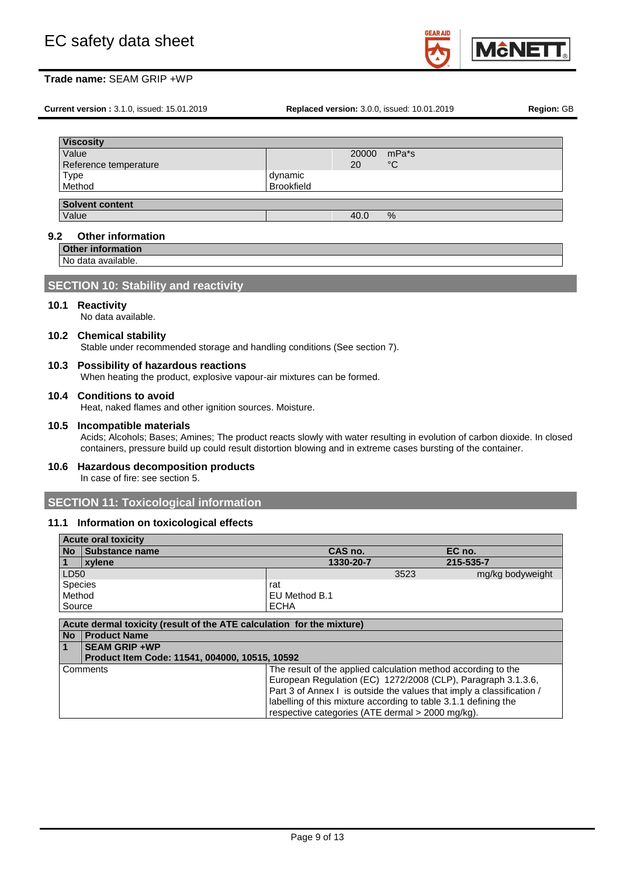

**Current version :** 3.1.0, issued: 15.01.2019 **Replaced version:** 3.0.0, issued: 10.01.2019 **Region:** GB

| <b>Viscosity</b>       |                   |       |               |
|------------------------|-------------------|-------|---------------|
| Value                  |                   | 20000 | mPa*s         |
| Reference temperature  |                   | 20    | $^{\circ}C$   |
| <b>Type</b>            | dynamic           |       |               |
| Method                 | <b>Brookfield</b> |       |               |
|                        |                   |       |               |
| <b>Solvent content</b> |                   |       |               |
| Value                  |                   | 40.0  | $\frac{9}{6}$ |

### **9.2 Other information**

**Other information**

No data available.

## **SECTION 10: Stability and reactivity**

#### **10.1 Reactivity**

No data available.

### **10.2 Chemical stability**

Stable under recommended storage and handling conditions (See section 7).

## **10.3 Possibility of hazardous reactions**

When heating the product, explosive vapour-air mixtures can be formed.

## **10.4 Conditions to avoid**

Heat, naked flames and other ignition sources. Moisture.

#### **10.5 Incompatible materials**

Acids; Alcohols; Bases; Amines; The product reacts slowly with water resulting in evolution of carbon dioxide. In closed containers, pressure build up could result distortion blowing and in extreme cases bursting of the container.

# **10.6 Hazardous decomposition products**

In case of fire: see section 5.

## **SECTION 11: Toxicological information**

#### **11.1 Information on toxicological effects**

|                  | <b>Acute oral toxicity</b>                                            |                                                                       |                  |
|------------------|-----------------------------------------------------------------------|-----------------------------------------------------------------------|------------------|
| <b>No</b>        | <b>Substance name</b>                                                 | CAS no.                                                               | EC no.           |
|                  | xylene                                                                | 1330-20-7                                                             | 215-535-7        |
| LD <sub>50</sub> |                                                                       | 3523                                                                  | mg/kg bodyweight |
| <b>Species</b>   |                                                                       | rat                                                                   |                  |
| Method           |                                                                       | EU Method B.1                                                         |                  |
| Source           |                                                                       | <b>ECHA</b>                                                           |                  |
|                  |                                                                       |                                                                       |                  |
|                  | Acute dermal toxicity (result of the ATE calculation for the mixture) |                                                                       |                  |
| <b>No</b>        | <b>Product Name</b>                                                   |                                                                       |                  |
|                  | <b>SEAM GRIP +WP</b>                                                  |                                                                       |                  |
|                  | Product Item Code: 11541, 004000, 10515, 10592                        |                                                                       |                  |
|                  | Comments                                                              | The result of the applied calculation method according to the         |                  |
|                  |                                                                       | European Regulation (EC) 1272/2008 (CLP), Paragraph 3.1.3.6,          |                  |
|                  |                                                                       | Part 3 of Annex I is outside the values that imply a classification / |                  |

labelling of this mixture according to table 3.1.1 defining the

respective categories (ATE dermal > 2000 mg/kg).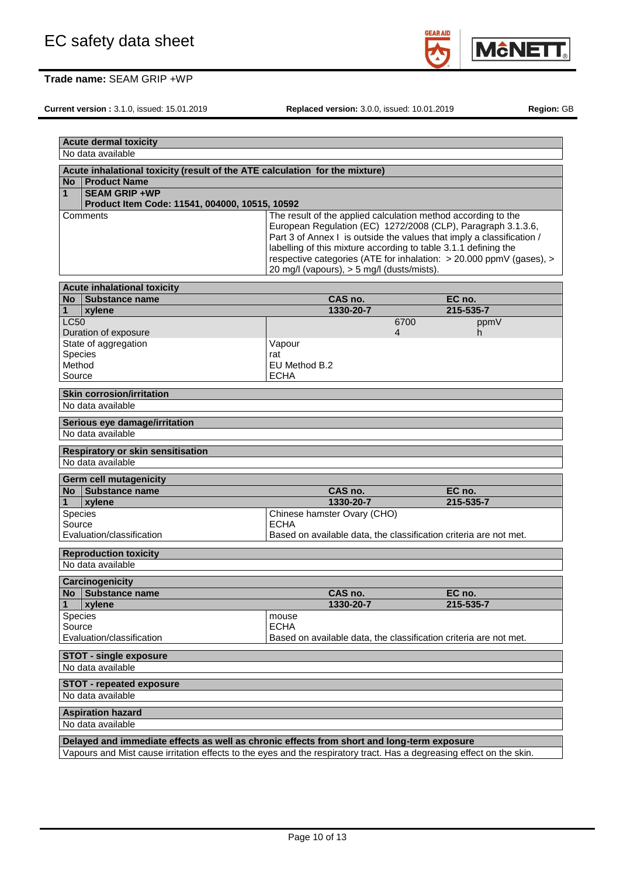

**Current version :** 3.1.0, issued: 15.01.2019 **Replaced version:** 3.0.0, issued: 10.01.2019 **Region:** GB

|                                                                                                                       | <b>Acute dermal toxicity</b>                                                               |                                                                       |      |           |
|-----------------------------------------------------------------------------------------------------------------------|--------------------------------------------------------------------------------------------|-----------------------------------------------------------------------|------|-----------|
|                                                                                                                       | No data available                                                                          |                                                                       |      |           |
|                                                                                                                       | Acute inhalational toxicity (result of the ATE calculation for the mixture)                |                                                                       |      |           |
| No <sub>1</sub>                                                                                                       | <b>Product Name</b>                                                                        |                                                                       |      |           |
| 1                                                                                                                     | <b>SEAM GRIP +WP</b>                                                                       |                                                                       |      |           |
|                                                                                                                       | Product Item Code: 11541, 004000, 10515, 10592                                             |                                                                       |      |           |
|                                                                                                                       | Comments                                                                                   | The result of the applied calculation method according to the         |      |           |
|                                                                                                                       |                                                                                            | European Regulation (EC) 1272/2008 (CLP), Paragraph 3.1.3.6,          |      |           |
|                                                                                                                       |                                                                                            | Part 3 of Annex I is outside the values that imply a classification / |      |           |
|                                                                                                                       |                                                                                            | labelling of this mixture according to table 3.1.1 defining the       |      |           |
|                                                                                                                       |                                                                                            | respective categories (ATE for inhalation: > 20.000 ppmV (gases), >   |      |           |
|                                                                                                                       |                                                                                            | 20 mg/l (vapours), > 5 mg/l (dusts/mists).                            |      |           |
|                                                                                                                       | <b>Acute inhalational toxicity</b>                                                         |                                                                       |      |           |
|                                                                                                                       | No Substance name                                                                          | CAS no.                                                               |      | EC no.    |
| 1                                                                                                                     | xylene                                                                                     | 1330-20-7                                                             |      | 215-535-7 |
| <b>LC50</b>                                                                                                           |                                                                                            |                                                                       | 6700 | ppmV      |
|                                                                                                                       | Duration of exposure                                                                       |                                                                       | 4    | h.        |
|                                                                                                                       | State of aggregation                                                                       | Vapour                                                                |      |           |
| Species                                                                                                               |                                                                                            | rat                                                                   |      |           |
| Method                                                                                                                |                                                                                            | EU Method B.2                                                         |      |           |
| Source                                                                                                                |                                                                                            | <b>ECHA</b>                                                           |      |           |
|                                                                                                                       | <b>Skin corrosion/irritation</b>                                                           |                                                                       |      |           |
|                                                                                                                       | No data available                                                                          |                                                                       |      |           |
|                                                                                                                       |                                                                                            |                                                                       |      |           |
|                                                                                                                       | Serious eye damage/irritation                                                              |                                                                       |      |           |
|                                                                                                                       | No data available                                                                          |                                                                       |      |           |
|                                                                                                                       | <b>Respiratory or skin sensitisation</b>                                                   |                                                                       |      |           |
|                                                                                                                       | No data available                                                                          |                                                                       |      |           |
|                                                                                                                       |                                                                                            |                                                                       |      |           |
|                                                                                                                       | <b>Germ cell mutagenicity</b><br>No Substance name                                         | CAS no.                                                               |      | EC no.    |
| $\mathbf{1}$                                                                                                          | xylene                                                                                     | 1330-20-7                                                             |      | 215-535-7 |
| Species                                                                                                               |                                                                                            | Chinese hamster Ovary (CHO)                                           |      |           |
| Source                                                                                                                |                                                                                            | <b>ECHA</b>                                                           |      |           |
|                                                                                                                       | Evaluation/classification                                                                  | Based on available data, the classification criteria are not met.     |      |           |
|                                                                                                                       |                                                                                            |                                                                       |      |           |
|                                                                                                                       | <b>Reproduction toxicity</b>                                                               |                                                                       |      |           |
|                                                                                                                       | No data available                                                                          |                                                                       |      |           |
|                                                                                                                       | <b>Carcinogenicity</b>                                                                     |                                                                       |      |           |
|                                                                                                                       | No Substance name                                                                          | CAS no.                                                               |      | EC no.    |
| 1                                                                                                                     | xylene                                                                                     | 1330-20-7                                                             |      | 215-535-7 |
| <b>Species</b>                                                                                                        |                                                                                            | mouse                                                                 |      |           |
| Source                                                                                                                |                                                                                            | <b>ECHA</b>                                                           |      |           |
|                                                                                                                       | Evaluation/classification                                                                  | Based on available data, the classification criteria are not met.     |      |           |
|                                                                                                                       | <b>STOT - single exposure</b>                                                              |                                                                       |      |           |
|                                                                                                                       | No data available                                                                          |                                                                       |      |           |
|                                                                                                                       |                                                                                            |                                                                       |      |           |
|                                                                                                                       | <b>STOT - repeated exposure</b>                                                            |                                                                       |      |           |
|                                                                                                                       | No data available                                                                          |                                                                       |      |           |
|                                                                                                                       | <b>Aspiration hazard</b>                                                                   |                                                                       |      |           |
|                                                                                                                       | No data available                                                                          |                                                                       |      |           |
|                                                                                                                       |                                                                                            |                                                                       |      |           |
|                                                                                                                       | Delayed and immediate effects as well as chronic effects from short and long-term exposure |                                                                       |      |           |
| Vapours and Mist cause irritation effects to the eyes and the respiratory tract. Has a degreasing effect on the skin. |                                                                                            |                                                                       |      |           |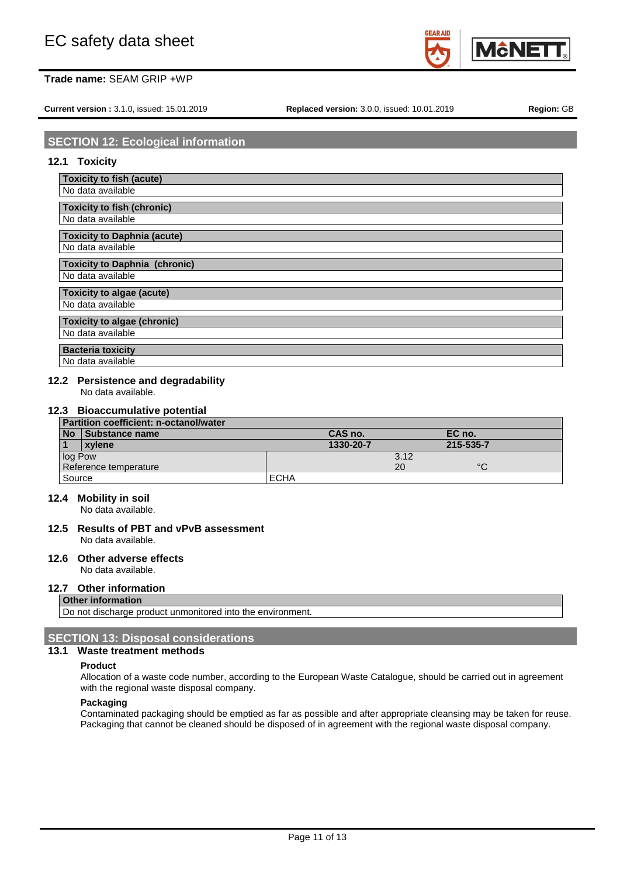

**Current version :** 3.1.0, issued: 15.01.2019 **Replaced version:** 3.0.0, issued: 10.01.2019 **Region:** GB

## **SECTION 12: Ecological information**

## **12.1 Toxicity**

| <b>Toxicity to fish (acute)</b>      |
|--------------------------------------|
| No data available                    |
| <b>Toxicity to fish (chronic)</b>    |
| No data available                    |
|                                      |
| <b>Toxicity to Daphnia (acute)</b>   |
| No data available                    |
| <b>Toxicity to Daphnia (chronic)</b> |
| No data available                    |
| <b>Toxicity to algae (acute)</b>     |
| No data available                    |
| <b>Toxicity to algae (chronic)</b>   |
| No data available                    |
| <b>Bacteria toxicity</b>             |
| No data available                    |

## **12.2 Persistence and degradability**

No data available.

### **12.3 Bioaccumulative potential**

| Partition coefficient: n-octanol/water |                       |             |      |           |
|----------------------------------------|-----------------------|-------------|------|-----------|
| <b>No</b>                              | <b>Substance name</b> | CAS no.     |      | EC no.    |
|                                        | xvlene                | 1330-20-7   |      | 215-535-7 |
| log Pow                                |                       |             | 3.12 |           |
| Reference temperature                  |                       |             | 20   | $\circ$   |
| Source                                 |                       | <b>ECHA</b> |      |           |

## **12.4 Mobility in soil**

No data available.

#### **12.5 Results of PBT and vPvB assessment** No data available.

**12.6 Other adverse effects**

No data available.

## **12.7 Other information**

## **Other information**

Do not discharge product unmonitored into the environment

## **SECTION 13: Disposal considerations**

### **13.1 Waste treatment methods**

#### **Product**

Allocation of a waste code number, according to the European Waste Catalogue, should be carried out in agreement with the regional waste disposal company.

#### **Packaging**

Contaminated packaging should be emptied as far as possible and after appropriate cleansing may be taken for reuse. Packaging that cannot be cleaned should be disposed of in agreement with the regional waste disposal company.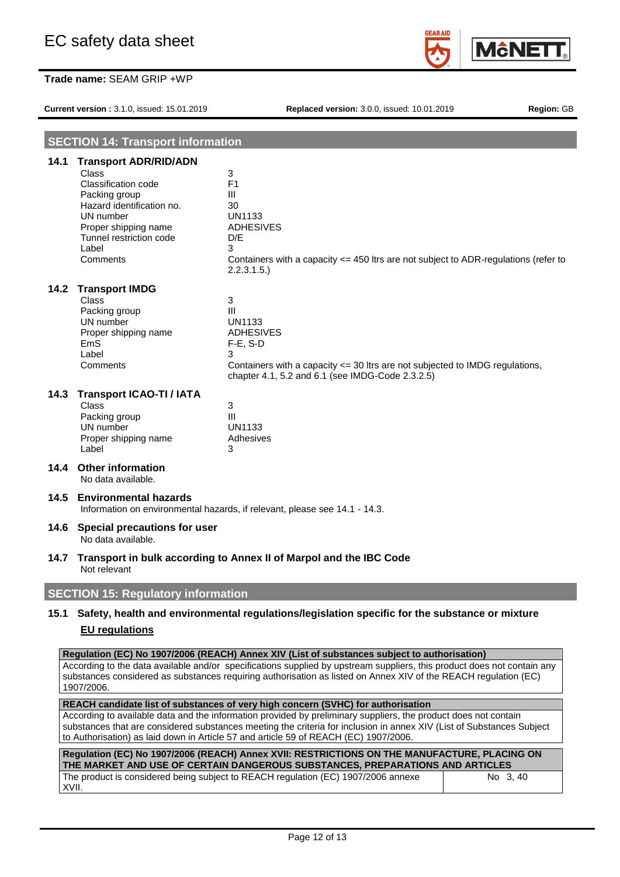

**Current version :** 3.1.0, issued: 15.01.2019 **Replaced version:** 3.0.0, issued: 10.01.2019 **Region:** GB

| <b>SECTION 14: Transport information</b> |                                                                                                                                                                                                        |                                                                                                                                                                                                                                                                                                                                            |  |
|------------------------------------------|--------------------------------------------------------------------------------------------------------------------------------------------------------------------------------------------------------|--------------------------------------------------------------------------------------------------------------------------------------------------------------------------------------------------------------------------------------------------------------------------------------------------------------------------------------------|--|
| 14.1                                     | <b>Transport ADR/RID/ADN</b><br>Class<br><b>Classification code</b><br>Packing group<br>Hazard identification no.<br>UN number<br>Proper shipping name<br>Tunnel restriction code<br>Label<br>Comments | 3<br>F <sub>1</sub><br>Ш<br>30<br><b>UN1133</b><br><b>ADHESIVES</b><br>D/E<br>3<br>Containers with a capacity <= 450 ltrs are not subject to ADR-regulations (refer to<br>2.2.3.1.5.                                                                                                                                                       |  |
| 14.2                                     | <b>Transport IMDG</b><br>Class<br>Packing group<br>UN number<br>Proper shipping name<br>EmS<br>Label<br>Comments                                                                                       | 3<br>Ш<br>UN1133<br>ADHESIVES<br>$F-E$ , S-D<br>3<br>Containers with a capacity <= 30 ltrs are not subjected to IMDG regulations,<br>chapter 4.1, 5.2 and 6.1 (see IMDG-Code 2.3.2.5)                                                                                                                                                      |  |
| 14.3                                     | <b>Transport ICAO-TI / IATA</b><br><b>Class</b><br>Packing group<br>UN number<br>Proper shipping name<br>Label                                                                                         | 3<br>III<br><b>UN1133</b><br>Adhesives<br>3                                                                                                                                                                                                                                                                                                |  |
|                                          | 14.4 Other information<br>No data available.                                                                                                                                                           |                                                                                                                                                                                                                                                                                                                                            |  |
|                                          | 14.5 Environmental hazards                                                                                                                                                                             | Information on environmental hazards, if relevant, please see 14.1 - 14.3.                                                                                                                                                                                                                                                                 |  |
| 14.6                                     | Special precautions for user<br>No data available.                                                                                                                                                     |                                                                                                                                                                                                                                                                                                                                            |  |
| 14.7                                     | Transport in bulk according to Annex II of Marpol and the IBC Code<br>Not relevant                                                                                                                     |                                                                                                                                                                                                                                                                                                                                            |  |
|                                          | <b>SECTION 15: Regulatory information</b>                                                                                                                                                              |                                                                                                                                                                                                                                                                                                                                            |  |
| 15.1                                     |                                                                                                                                                                                                        | Safety, health and environmental regulations/legislation specific for the substance or mixture                                                                                                                                                                                                                                             |  |
|                                          | <b>EU</b> regulations                                                                                                                                                                                  |                                                                                                                                                                                                                                                                                                                                            |  |
|                                          | 1907/2006.                                                                                                                                                                                             | Regulation (EC) No 1907/2006 (REACH) Annex XIV (List of substances subject to authorisation)<br>According to the data available and/or specifications supplied by upstream suppliers, this product does not contain any<br>substances considered as substances requiring authorisation as listed on Annex XIV of the REACH regulation (EC) |  |
|                                          |                                                                                                                                                                                                        | REACH candidate list of substances of very high concern (SVHC) for authorisation<br>According to available data and the information provided by preliminary suppliers, the product does not contain                                                                                                                                        |  |

substances that are considered substances meeting the criteria for inclusion in annex XIV (List of Substances Subject to Authorisation) as laid down in Article 57 and article 59 of REACH (EC) 1907/2006.

| Regulation (EC) No 1907/2006 (REACH) Annex XVII: RESTRICTIONS ON THE MANUFACTURE, PLACING ON<br>THE MARKET AND USE OF CERTAIN DANGEROUS SUBSTANCES. PREPARATIONS AND ARTICLES |          |
|-------------------------------------------------------------------------------------------------------------------------------------------------------------------------------|----------|
| The product is considered being subject to REACH regulation (EC) 1907/2006 annexe<br>XVII.                                                                                    | No 3, 40 |